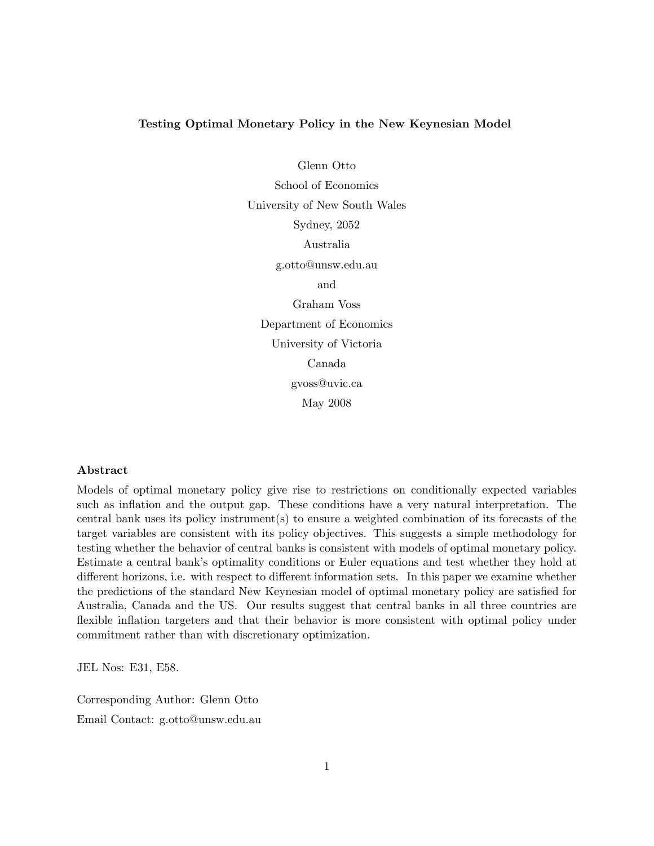#### Testing Optimal Monetary Policy in the New Keynesian Model

Glenn Otto School of Economics University of New South Wales Sydney, 2052 Australia g.otto@unsw.edu.au and Graham Voss Department of Economics University of Victoria Canada gvoss@uvic.ca May 2008

#### Abstract

Models of optimal monetary policy give rise to restrictions on conditionally expected variables such as inflation and the output gap. These conditions have a very natural interpretation. The central bank uses its policy instrument(s) to ensure a weighted combination of its forecasts of the target variables are consistent with its policy objectives. This suggests a simple methodology for testing whether the behavior of central banks is consistent with models of optimal monetary policy. Estimate a central bankís optimality conditions or Euler equations and test whether they hold at different horizons, i.e. with respect to different information sets. In this paper we examine whether the predictions of the standard New Keynesian model of optimal monetary policy are satisfied for Australia, Canada and the US. Our results suggest that central banks in all three countries are flexible inflation targeters and that their behavior is more consistent with optimal policy under commitment rather than with discretionary optimization.

JEL Nos: E31, E58.

Corresponding Author: Glenn Otto Email Contact: g.otto@unsw.edu.au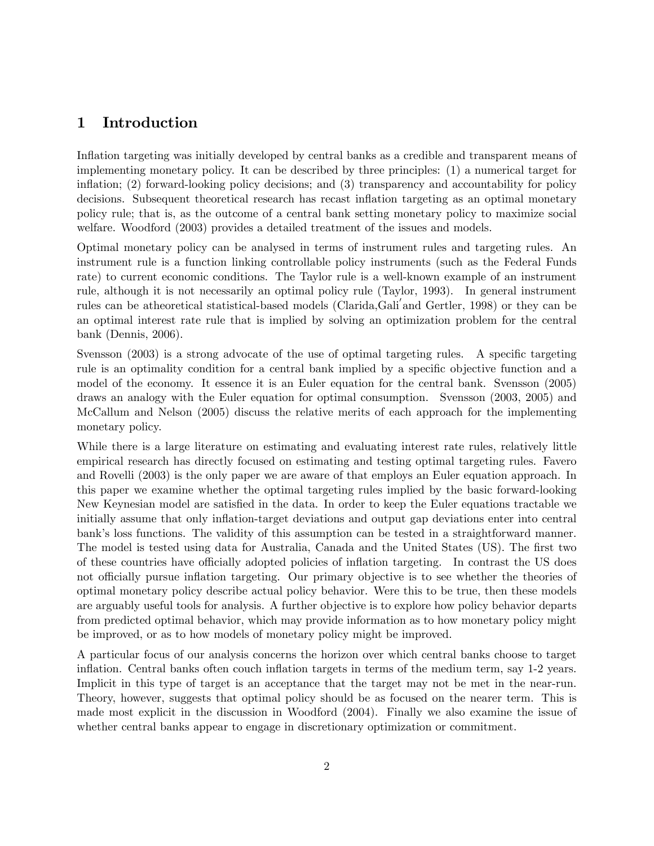# 1 Introduction

Inflation targeting was initially developed by central banks as a credible and transparent means of implementing monetary policy. It can be described by three principles: (1) a numerical target for inflation;  $(2)$  forward-looking policy decisions; and  $(3)$  transparency and accountability for policy decisions. Subsequent theoretical research has recast inflation targeting as an optimal monetary policy rule; that is, as the outcome of a central bank setting monetary policy to maximize social welfare. Woodford (2003) provides a detailed treatment of the issues and models.

Optimal monetary policy can be analysed in terms of instrument rules and targeting rules. An instrument rule is a function linking controllable policy instruments (such as the Federal Funds rate) to current economic conditions. The Taylor rule is a well-known example of an instrument rule, although it is not necessarily an optimal policy rule (Taylor, 1993). In general instrument rules can be atheoretical statistical-based models (Clarida,Gali<sup>'</sup>and Gertler, 1998) or they can be an optimal interest rate rule that is implied by solving an optimization problem for the central bank (Dennis, 2006).

Svensson  $(2003)$  is a strong advocate of the use of optimal targeting rules. A specific targeting rule is an optimality condition for a central bank implied by a specific objective function and a model of the economy. It essence it is an Euler equation for the central bank. Svensson (2005) draws an analogy with the Euler equation for optimal consumption. Svensson (2003, 2005) and McCallum and Nelson (2005) discuss the relative merits of each approach for the implementing monetary policy.

While there is a large literature on estimating and evaluating interest rate rules, relatively little empirical research has directly focused on estimating and testing optimal targeting rules. Favero and Rovelli (2003) is the only paper we are aware of that employs an Euler equation approach. In this paper we examine whether the optimal targeting rules implied by the basic forward-looking New Keynesian model are satisfied in the data. In order to keep the Euler equations tractable we initially assume that only inflation-target deviations and output gap deviations enter into central bank's loss functions. The validity of this assumption can be tested in a straightforward manner. The model is tested using data for Australia, Canada and the United States (US). The first two of these countries have officially adopted policies of inflation targeting. In contrast the US does not officially pursue inflation targeting. Our primary objective is to see whether the theories of optimal monetary policy describe actual policy behavior. Were this to be true, then these models are arguably useful tools for analysis. A further objective is to explore how policy behavior departs from predicted optimal behavior, which may provide information as to how monetary policy might be improved, or as to how models of monetary policy might be improved.

A particular focus of our analysis concerns the horizon over which central banks choose to target inflation. Central banks often couch inflation targets in terms of the medium term, say 1-2 years. Implicit in this type of target is an acceptance that the target may not be met in the near-run. Theory, however, suggests that optimal policy should be as focused on the nearer term. This is made most explicit in the discussion in Woodford (2004). Finally we also examine the issue of whether central banks appear to engage in discretionary optimization or commitment.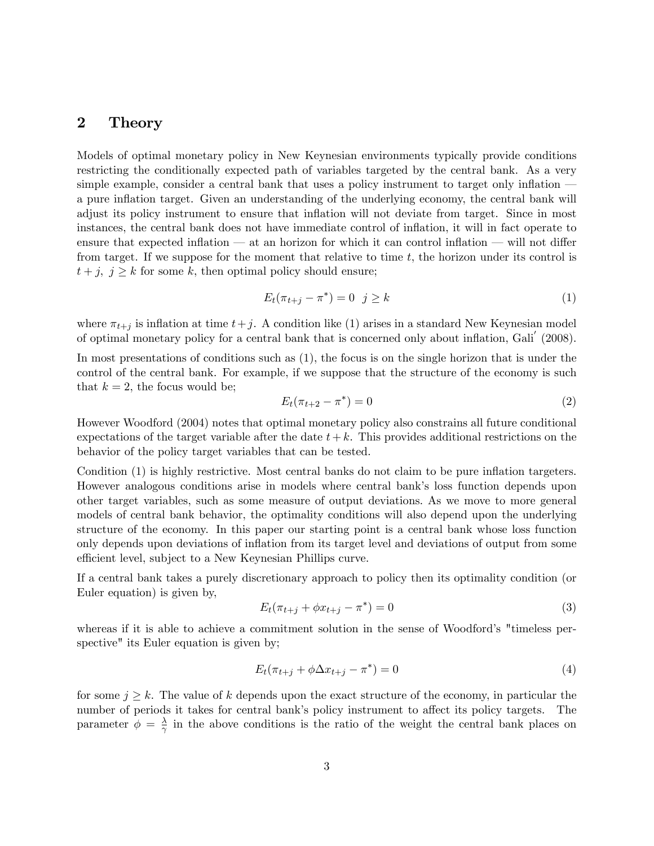# 2 Theory

Models of optimal monetary policy in New Keynesian environments typically provide conditions restricting the conditionally expected path of variables targeted by the central bank. As a very simple example, consider a central bank that uses a policy instrument to target only inflation – a pure inflation target. Given an understanding of the underlying economy, the central bank will adjust its policy instrument to ensure that inflation will not deviate from target. Since in most instances, the central bank does not have immediate control of inflation, it will in fact operate to ensure that expected inflation  $\sim$  at an horizon for which it can control inflation  $\sim$  will not differ from target. If we suppose for the moment that relative to time  $t$ , the horizon under its control is  $t + j$ ,  $j \geq k$  for some k, then optimal policy should ensure;

$$
E_t(\pi_{t+j} - \pi^*) = 0 \quad j \ge k \tag{1}
$$

where  $\pi_{t+j}$  is inflation at time  $t+j$ . A condition like (1) arises in a standard New Keynesian model of optimal monetary policy for a central bank that is concerned only about inflation, Gali $(2008)$ .

In most presentations of conditions such as (1), the focus is on the single horizon that is under the control of the central bank. For example, if we suppose that the structure of the economy is such that  $k = 2$ , the focus would be;

$$
E_t(\pi_{t+2} - \pi^*) = 0 \tag{2}
$$

However Woodford (2004) notes that optimal monetary policy also constrains all future conditional expectations of the target variable after the date  $t + k$ . This provides additional restrictions on the behavior of the policy target variables that can be tested.

Condition  $(1)$  is highly restrictive. Most central banks do not claim to be pure inflation targeters. However analogous conditions arise in models where central bank's loss function depends upon other target variables, such as some measure of output deviations. As we move to more general models of central bank behavior, the optimality conditions will also depend upon the underlying structure of the economy. In this paper our starting point is a central bank whose loss function only depends upon deviations of ináation from its target level and deviations of output from some efficient level, subject to a New Keynesian Phillips curve.

If a central bank takes a purely discretionary approach to policy then its optimality condition (or Euler equation) is given by,

$$
E_t(\pi_{t+j} + \phi x_{t+j} - \pi^*) = 0
$$
\n(3)

whereas if it is able to achieve a commitment solution in the sense of Woodford's "timeless perspective" its Euler equation is given by;

$$
E_t(\pi_{t+j} + \phi \Delta x_{t+j} - \pi^*) = 0
$$
\n(4)

for some  $j \geq k$ . The value of k depends upon the exact structure of the economy, in particular the number of periods it takes for central bank's policy instrument to affect its policy targets. The parameter  $\phi = \frac{\lambda}{\gamma}$  $\frac{\lambda}{\gamma}$  in the above conditions is the ratio of the weight the central bank places on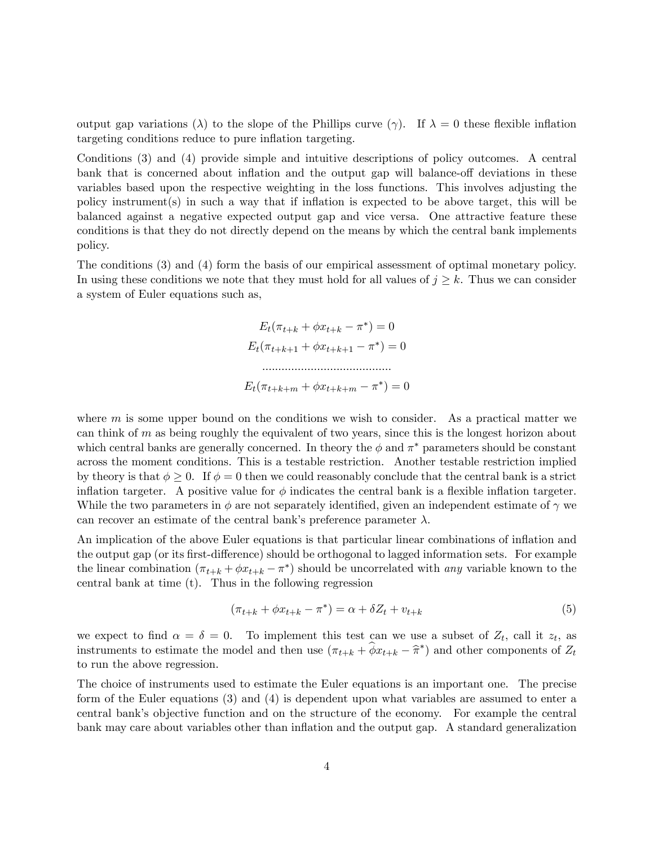output gap variations ( $\lambda$ ) to the slope of the Phillips curve ( $\gamma$ ). If  $\lambda = 0$  these flexible inflation targeting conditions reduce to pure inflation targeting.

Conditions (3) and (4) provide simple and intuitive descriptions of policy outcomes. A central bank that is concerned about inflation and the output gap will balance-off deviations in these variables based upon the respective weighting in the loss functions. This involves adjusting the policy instrument(s) in such a way that if inflation is expected to be above target, this will be balanced against a negative expected output gap and vice versa. One attractive feature these conditions is that they do not directly depend on the means by which the central bank implements policy.

The conditions (3) and (4) form the basis of our empirical assessment of optimal monetary policy. In using these conditions we note that they must hold for all values of  $j \geq k$ . Thus we can consider a system of Euler equations such as,

> $E_t(\pi_{t+k} + \phi x_{t+k} - \pi^*) = 0$  $E_t(\pi_{t+k+1} + \phi x_{t+k+1} - \pi^*) = 0$ ........................................  $E_t(\pi_{t+k+m} + \phi x_{t+k+m} - \pi^*) = 0$

where  $m$  is some upper bound on the conditions we wish to consider. As a practical matter we can think of  $m$  as being roughly the equivalent of two years, since this is the longest horizon about which central banks are generally concerned. In theory the  $\phi$  and  $\pi^*$  parameters should be constant across the moment conditions. This is a testable restriction. Another testable restriction implied by theory is that  $\phi \geq 0$ . If  $\phi = 0$  then we could reasonably conclude that the central bank is a strict inflation targeter. A positive value for  $\phi$  indicates the central bank is a flexible inflation targeter. While the two parameters in  $\phi$  are not separately identified, given an independent estimate of  $\gamma$  we can recover an estimate of the central bank's preference parameter  $\lambda$ .

An implication of the above Euler equations is that particular linear combinations of inflation and the output gap (or its first-difference) should be orthogonal to lagged information sets. For example the linear combination  $(\pi_{t+k} + \phi x_{t+k} - \pi^*)$  should be uncorrelated with any variable known to the central bank at time (t). Thus in the following regression

$$
(\pi_{t+k} + \phi x_{t+k} - \pi^*) = \alpha + \delta Z_t + v_{t+k}
$$
\n(5)

we expect to find  $\alpha = \delta = 0$ . To implement this test can we use a subset of  $Z_t$ , call it  $z_t$ , as instruments to estimate the model and then use  $(\pi_{t+k} + \phi x_{t+k} - \hat{\pi}^*)$  and other components of  $Z_t$ to run the above regression.

The choice of instruments used to estimate the Euler equations is an important one. The precise form of the Euler equations (3) and (4) is dependent upon what variables are assumed to enter a central bankís objective function and on the structure of the economy. For example the central bank may care about variables other than inflation and the output gap. A standard generalization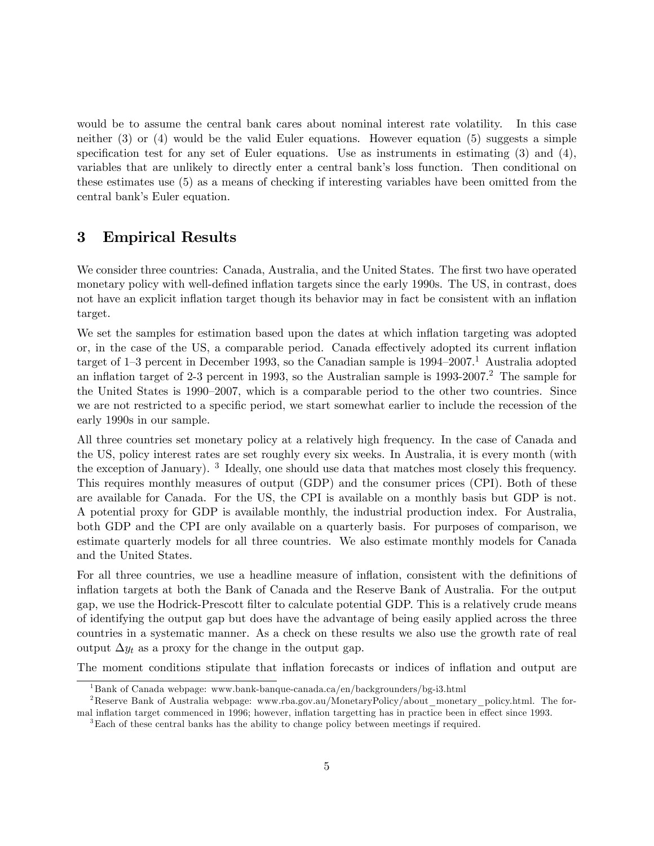would be to assume the central bank cares about nominal interest rate volatility. In this case neither (3) or (4) would be the valid Euler equations. However equation (5) suggests a simple specification test for any set of Euler equations. Use as instruments in estimating  $(3)$  and  $(4)$ , variables that are unlikely to directly enter a central bank's loss function. Then conditional on these estimates use (5) as a means of checking if interesting variables have been omitted from the central bank's Euler equation.

### 3 Empirical Results

We consider three countries: Canada, Australia, and the United States. The first two have operated monetary policy with well-defined inflation targets since the early 1990s. The US, in contrast, does not have an explicit inflation target though its behavior may in fact be consistent with an inflation target.

We set the samples for estimation based upon the dates at which inflation targeting was adopted or, in the case of the US, a comparable period. Canada effectively adopted its current inflation target of  $1-3$  percent in December 1993, so the Canadian sample is  $1994-2007$ .<sup>1</sup> Australia adopted an inflation target of 2-3 percent in 1993, so the Australian sample is  $1993-2007$ .<sup>2</sup> The sample for the United States is  $1990-2007$ , which is a comparable period to the other two countries. Since we are not restricted to a specific period, we start somewhat earlier to include the recession of the early 1990s in our sample.

All three countries set monetary policy at a relatively high frequency. In the case of Canada and the US, policy interest rates are set roughly every six weeks. In Australia, it is every month (with the exception of January). <sup>3</sup> Ideally, one should use data that matches most closely this frequency. This requires monthly measures of output (GDP) and the consumer prices (CPI). Both of these are available for Canada. For the US, the CPI is available on a monthly basis but GDP is not. A potential proxy for GDP is available monthly, the industrial production index. For Australia, both GDP and the CPI are only available on a quarterly basis. For purposes of comparison, we estimate quarterly models for all three countries. We also estimate monthly models for Canada and the United States.

For all three countries, we use a headline measure of inflation, consistent with the definitions of ináation targets at both the Bank of Canada and the Reserve Bank of Australia. For the output gap, we use the Hodrick-Prescott filter to calculate potential GDP. This is a relatively crude means of identifying the output gap but does have the advantage of being easily applied across the three countries in a systematic manner. As a check on these results we also use the growth rate of real output  $\Delta y_t$  as a proxy for the change in the output gap.

The moment conditions stipulate that inflation forecasts or indices of inflation and output are

<sup>&</sup>lt;sup>1</sup>Bank of Canada webpage: www.bank-banque-canada.ca/en/backgrounders/bg-i3.html

<sup>&</sup>lt;sup>2</sup>Reserve Bank of Australia webpage: www.rba.gov.au/MonetaryPolicy/about\_monetary\_policy.html. The formal inflation target commenced in 1996; however, inflation targetting has in practice been in effect since 1993.

<sup>3</sup>Each of these central banks has the ability to change policy between meetings if required.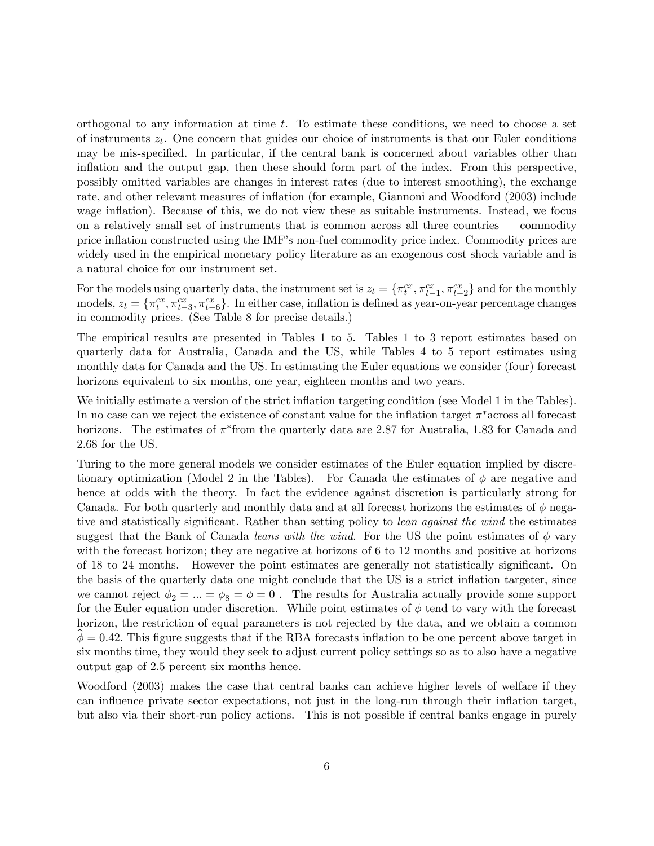orthogonal to any information at time  $t$ . To estimate these conditions, we need to choose a set of instruments  $z_t$ . One concern that guides our choice of instruments is that our Euler conditions may be mis-specified. In particular, if the central bank is concerned about variables other than inflation and the output gap, then these should form part of the index. From this perspective, possibly omitted variables are changes in interest rates (due to interest smoothing), the exchange rate, and other relevant measures of inflation (for example, Giannoni and Woodford (2003) include wage inflation). Because of this, we do not view these as suitable instruments. Instead, we focus on a relatively small set of instruments that is common across all three countries  $\sim$  commodity price inflation constructed using the IMF's non-fuel commodity price index. Commodity prices are widely used in the empirical monetary policy literature as an exogenous cost shock variable and is a natural choice for our instrument set.

For the models using quarterly data, the instrument set is  $z_t = \{\pi_t^{cx}, \pi_{t-1}^{cx}, \pi_{t-2}^{cx}\}\$  and for the monthly models,  $z_t = \{\pi_t^{cx}, \pi_{t-3}^{cx}, \pi_{t-6}^{cx}\}$ . In either case, inflation is defined as year-on-year percentage changes in commodity prices. (See Table 8 for precise details.)

The empirical results are presented in Tables 1 to 5. Tables 1 to 3 report estimates based on quarterly data for Australia, Canada and the US, while Tables 4 to 5 report estimates using monthly data for Canada and the US. In estimating the Euler equations we consider (four) forecast horizons equivalent to six months, one year, eighteen months and two years.

We initially estimate a version of the strict inflation targeting condition (see Model 1 in the Tables). In no case can we reject the existence of constant value for the inflation target  $\pi^*$  across all forecast horizons. The estimates of  $\pi^*$  from the quarterly data are 2.87 for Australia, 1.83 for Canada and 2.68 for the US.

Turing to the more general models we consider estimates of the Euler equation implied by discretionary optimization (Model 2 in the Tables). For Canada the estimates of  $\phi$  are negative and hence at odds with the theory. In fact the evidence against discretion is particularly strong for Canada. For both quarterly and monthly data and at all forecast horizons the estimates of  $\phi$  negative and statistically significant. Rather than setting policy to *lean against the wind* the estimates suggest that the Bank of Canada leans with the wind. For the US the point estimates of  $\phi$  vary with the forecast horizon; they are negative at horizons of 6 to 12 months and positive at horizons of 18 to 24 months. However the point estimates are generally not statistically significant. On the basis of the quarterly data one might conclude that the US is a strict inflation targeter, since we cannot reject  $\phi_2 = ... = \phi_8 = \phi = 0$ . The results for Australia actually provide some support for the Euler equation under discretion. While point estimates of  $\phi$  tend to vary with the forecast horizon, the restriction of equal parameters is not rejected by the data, and we obtain a common  $\phi = 0.42$ . This figure suggests that if the RBA forecasts inflation to be one percent above target in six months time, they would they seek to adjust current policy settings so as to also have a negative output gap of 2.5 percent six months hence.

Woodford (2003) makes the case that central banks can achieve higher levels of welfare if they can influence private sector expectations, not just in the long-run through their inflation target, but also via their short-run policy actions. This is not possible if central banks engage in purely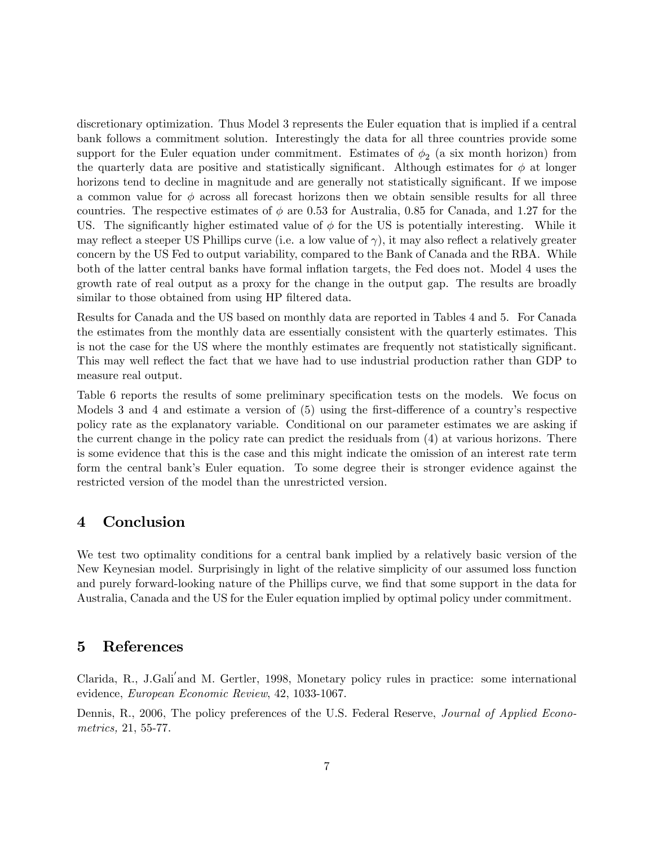discretionary optimization. Thus Model 3 represents the Euler equation that is implied if a central bank follows a commitment solution. Interestingly the data for all three countries provide some support for the Euler equation under commitment. Estimates of  $\phi_2$  (a six month horizon) from the quarterly data are positive and statistically significant. Although estimates for  $\phi$  at longer horizons tend to decline in magnitude and are generally not statistically significant. If we impose a common value for  $\phi$  across all forecast horizons then we obtain sensible results for all three countries. The respective estimates of  $\phi$  are 0.53 for Australia, 0.85 for Canada, and 1.27 for the US. The significantly higher estimated value of  $\phi$  for the US is potentially interesting. While it may reflect a steeper US Phillips curve (i.e. a low value of  $\gamma$ ), it may also reflect a relatively greater concern by the US Fed to output variability, compared to the Bank of Canada and the RBA. While both of the latter central banks have formal inflation targets, the Fed does not. Model 4 uses the growth rate of real output as a proxy for the change in the output gap. The results are broadly similar to those obtained from using HP filtered data.

Results for Canada and the US based on monthly data are reported in Tables 4 and 5. For Canada the estimates from the monthly data are essentially consistent with the quarterly estimates. This is not the case for the US where the monthly estimates are frequently not statistically significant. This may well reflect the fact that we have had to use industrial production rather than GDP to measure real output.

Table 6 reports the results of some preliminary specification tests on the models. We focus on Models 3 and 4 and estimate a version of  $(5)$  using the first-difference of a country's respective policy rate as the explanatory variable. Conditional on our parameter estimates we are asking if the current change in the policy rate can predict the residuals from (4) at various horizons. There is some evidence that this is the case and this might indicate the omission of an interest rate term form the central bank's Euler equation. To some degree their is stronger evidence against the restricted version of the model than the unrestricted version.

### 4 Conclusion

We test two optimality conditions for a central bank implied by a relatively basic version of the New Keynesian model. Surprisingly in light of the relative simplicity of our assumed loss function and purely forward-looking nature of the Phillips curve, we find that some support in the data for Australia, Canada and the US for the Euler equation implied by optimal policy under commitment.

#### 5 References

Clarida, R., J.Gali'and M. Gertler, 1998, Monetary policy rules in practice: some international evidence, European Economic Review, 42, 1033-1067.

Dennis, R., 2006, The policy preferences of the U.S. Federal Reserve, *Journal of Applied Econo*metrics, 21, 55-77.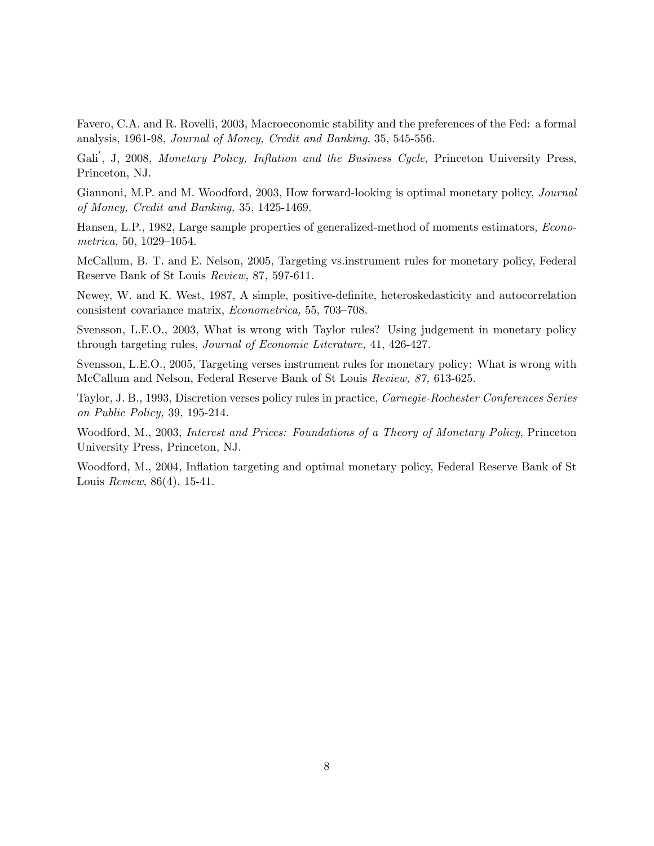Favero, C.A. and R. Rovelli, 2003, Macroeconomic stability and the preferences of the Fed: a formal analysis, 1961-98, Journal of Money, Credit and Banking, 35, 545-556.

Gali<sup>'</sup>, J, 2008, Monetary Policy, Inflation and the Business Cycle, Princeton University Press, Princeton, NJ.

Giannoni, M.P. and M. Woodford, 2003, How forward-looking is optimal monetary policy, Journal of Money, Credit and Banking, 35, 1425-1469.

Hansen, L.P., 1982, Large sample properties of generalized-method of moments estimators, Econometrica, 50, 1029–1054.

McCallum, B. T. and E. Nelson, 2005, Targeting vs.instrument rules for monetary policy, Federal Reserve Bank of St Louis Review, 87, 597-611.

Newey, W. and K. West, 1987, A simple, positive-definite, heteroskedasticity and autocorrelation consistent covariance matrix, *Econometrica*, 55, 703-708.

Svensson, L.E.O., 2003, What is wrong with Taylor rules? Using judgement in monetary policy through targeting rules, Journal of Economic Literature, 41, 426-427.

Svensson, L.E.O., 2005, Targeting verses instrument rules for monetary policy: What is wrong with McCallum and Nelson, Federal Reserve Bank of St Louis Review, 87, 613-625.

Taylor, J. B., 1993, Discretion verses policy rules in practice, Carnegie-Rochester Conferences Series on Public Policy, 39, 195-214.

Woodford, M., 2003, Interest and Prices: Foundations of a Theory of Monetary Policy, Princeton University Press, Princeton, NJ.

Woodford, M., 2004, Ináation targeting and optimal monetary policy, Federal Reserve Bank of St Louis Review, 86(4), 15-41.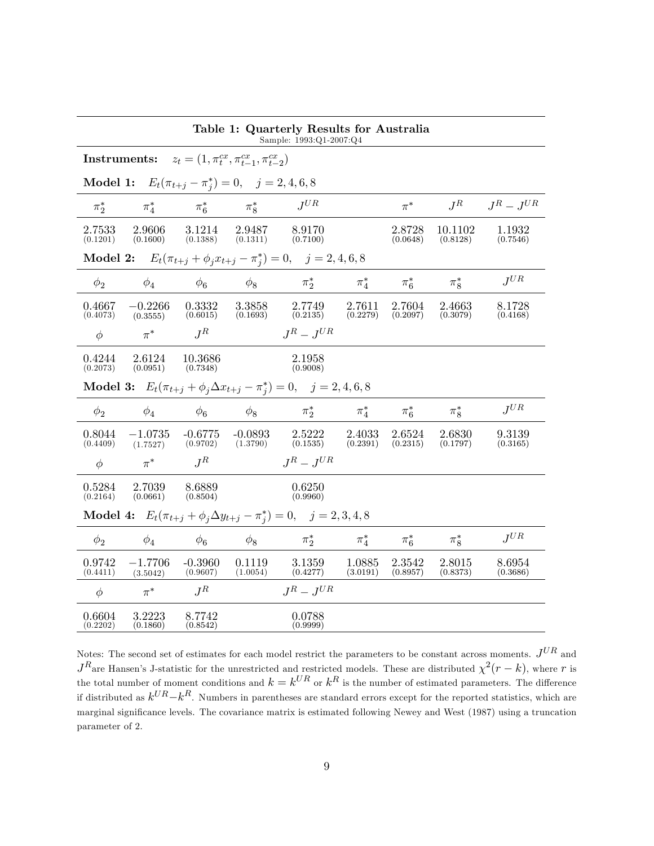| Table 1: Quarterly Results for Australia<br>Sample: 1993:Q1-2007:Q4 |                                                                                              |                                        |                    |                                                                                                                  |                    |                    |                     |                    |
|---------------------------------------------------------------------|----------------------------------------------------------------------------------------------|----------------------------------------|--------------------|------------------------------------------------------------------------------------------------------------------|--------------------|--------------------|---------------------|--------------------|
|                                                                     | <b>Instruments:</b> $z_t = (1, \pi_t^{cx}, \pi_{t-1}^{cx}, \pi_{t-2}^{cx})$                  |                                        |                    |                                                                                                                  |                    |                    |                     |                    |
|                                                                     | <b>Model 1:</b> $E_t(\pi_{t+j} - \pi_i^*) = 0$ , $j = 2, 4, 6, 8$                            |                                        |                    |                                                                                                                  |                    |                    |                     |                    |
| $\pi^*_2$                                                           | $\pi_4^*$ $\pi_6^*$ $\pi_8^*$                                                                |                                        |                    | $J^{UR}$                                                                                                         |                    | $\pi^*$            | $J^R$               | $J^R - J^{UR}$     |
| 2.7533<br>(0.1201)                                                  | 2.9606<br>(0.1600)                                                                           | $3.1214$ $2.9487$<br>(0.1388) (0.1311) |                    | $8.9170$<br>$(0.7100)$                                                                                           |                    | 2.8728<br>(0.0648) | 10.1102<br>(0.8128) | 1.1932<br>(0.7546) |
|                                                                     |                                                                                              |                                        |                    | <b>Model 2:</b> $E_t(\pi_{t+j} + \phi_i x_{t+j} - \pi_i^*) = 0, \quad j = 2, 4, 6, 8$                            |                    |                    |                     |                    |
| $\phi_2$                                                            | $\phi_4$                                                                                     |                                        |                    | $\phi_6$ $\phi_8$ $\pi_2^*$ $\pi_4^*$ $\pi_6^*$ $\pi_8^*$                                                        |                    |                    |                     | $J^{UR}$           |
| 0.4667<br>(0.4073)                                                  | $-0.2266$<br>(0.3555)                                                                        | 0.3332<br>(0.6015)                     | 3.3858<br>(0.1693) | 2.7749<br>(0.2135)                                                                                               | 2.7611<br>(0.2279) | 2.7604<br>(0.2097) | 2.4663<br>(0.3079)  | 8.1728<br>(0.4168) |
| $\phi$                                                              | $\pi^*$                                                                                      | $J^R$                                  |                    | $J^R - J^{UR}$                                                                                                   |                    |                    |                     |                    |
| 0.4244<br>(0.2073)                                                  | 2.6124<br>(0.0951)                                                                           | 10.3686<br>(0.7348)                    |                    | 2.1958<br>(0.9008)                                                                                               |                    |                    |                     |                    |
|                                                                     |                                                                                              |                                        |                    | <b>Model 3:</b> $E_t(\pi_{t+j} + \phi_j \Delta x_{t+j} - \pi_j^*) = 0, \quad j = 2, 4, 6, 8$                     |                    |                    |                     |                    |
| $\phi_2$                                                            | $\phi_4$ $\phi_6$                                                                            |                                        |                    | $\phi_8$ $\pi_2^*$ $\pi_4^*$ $\pi_6^*$                                                                           |                    |                    | $\pi_8^*$           | $J^{UR}$           |
| 0.8044<br>(0.4409)                                                  |                                                                                              |                                        |                    | $-1.0735$ $-0.6775$ $-0.0893$ $2.5222$<br>(1.7527) (0.9702) (1.3790) (0.1535)                                    | 2.4033<br>(0.2391) | 2.6524<br>(0.2315) | 2.6830<br>(0.1797)  | 9.3139<br>(0.3165) |
| $\phi$                                                              | $\pi^*$ $J^R$                                                                                |                                        |                    | $J^R - J^{UR}$                                                                                                   |                    |                    |                     |                    |
| 0.5284<br>(0.2164)                                                  | 2.7039<br>(0.0661)                                                                           | $8.6889\n(0.8504)$                     |                    | 0.6250<br>(0.9960)                                                                                               |                    |                    |                     |                    |
|                                                                     | <b>Model 4:</b> $E_t(\pi_{t+j} + \phi_j \Delta y_{t+j} - \pi_j^*) = 0, \quad j = 2, 3, 4, 8$ |                                        |                    |                                                                                                                  |                    |                    |                     |                    |
| $\phi_2$                                                            | $\phi_4$                                                                                     |                                        |                    | $\phi_6 \qquad \quad \phi_8 \qquad \quad \pi_2^* \qquad \quad \pi_4^* \qquad \quad \pi_6^* \qquad \quad \pi_8^*$ |                    |                    |                     | $J^{UR}$           |
| 0.9742<br>(0.4411)                                                  | $-1.7706$<br>(3.5042)                                                                        | $-0.3960$<br>(0.9607)                  | 0.1119<br>(1.0054) | 3.1359 1.0885<br>(0.4277)                                                                                        | (3.0191)           | 2.3542<br>(0.8957) | 2.8015<br>(0.8373)  | 8.6954<br>(0.3686) |
| $\phi$                                                              | $\pi^*$                                                                                      | $J^R$                                  |                    | $J^R - J^{UR}$                                                                                                   |                    |                    |                     |                    |
| 0.6604<br>(0.2202)                                                  | 3.2223<br>(0.1860)                                                                           | 8.7742<br>(0.8542)                     |                    | 0.0788<br>(0.9999)                                                                                               |                    |                    |                     |                    |

Notes: The second set of estimates for each model restrict the parameters to be constant across moments.  $J^{UR}$  and  $J<sup>R</sup>$ are Hansen's J-statistic for the unrestricted and restricted models. These are distributed  $\chi^{2}(r-k)$ , where r is the total number of moment conditions and  $k = k^{UR}$  or  $k^R$  is the number of estimated parameters. The difference if distributed as  $k^{UR} - k^R$ . Numbers in parentheses are standard errors except for the reported statistics, which are marginal significance levels. The covariance matrix is estimated following Newey and West (1987) using a truncation parameter of 2.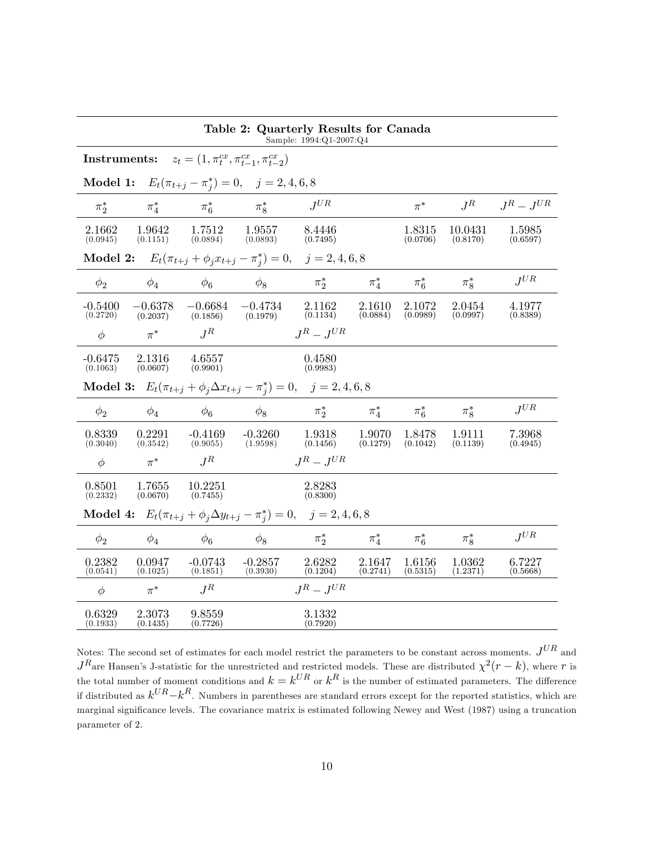| Table 2: Quarterly Results for Canada<br>Sample: 1994:Q1-2007:Q4 |                                                                                    |                                                   |                                                                   |                                                                                              |                           |                    |                     |                    |
|------------------------------------------------------------------|------------------------------------------------------------------------------------|---------------------------------------------------|-------------------------------------------------------------------|----------------------------------------------------------------------------------------------|---------------------------|--------------------|---------------------|--------------------|
|                                                                  | <b>Instruments:</b> $z_t = (1, \pi_t^{cx}, \pi_{t-1}^{cx}, \pi_{t-2}^{cx})$        |                                                   |                                                                   |                                                                                              |                           |                    |                     |                    |
|                                                                  |                                                                                    |                                                   | <b>Model 1:</b> $E_t(\pi_{t+j} - \pi_i^*) = 0$ , $j = 2, 4, 6, 8$ |                                                                                              |                           |                    |                     |                    |
| $\pi^*_2$                                                        | $\pi^*_4$                                                                          |                                                   | $\pi_6^*$ $\pi_8^*$                                               | $J^{UR}$                                                                                     |                           | $\pi^*$            | $J^R$               | $J^R - J^{UR}$     |
| 2.1662<br>(0.0945)                                               | 1.9642<br>(0.1151)                                                                 | 1.7512<br>(0.0894)                                | $1.9557$ $8.4446$<br>$(0.0893)$ $(0.7495)$                        |                                                                                              |                           | 1.8315<br>(0.0706) | 10.0431<br>(0.8170) | 1.5985<br>(0.6597) |
|                                                                  |                                                                                    |                                                   |                                                                   | <b>Model 2:</b> $E_t(\pi_{t+j} + \phi_j x_{t+j} - \pi_j^*) = 0, \quad j = 2, 4, 6, 8$        |                           |                    |                     |                    |
| $\phi_2$                                                         | $\phi_4$                                                                           | $\phi_6$                                          | $\phi_8$                                                          | $\pi_2^*$ $\pi_4^*$ $\pi_6^*$ $\pi_8^*$                                                      |                           |                    |                     | $J^{UR}$           |
| $-0.5400$<br>(0.2720)                                            | $-0.6378$<br>(0.2037)                                                              | $-0.6684$<br>(0.1856)                             | $-0.4734$<br>(0.1979)                                             | 2.1162<br>(0.1134)                                                                           | 2.1610<br>(0.0884)        | 2.1072<br>(0.0989) | 2.0454<br>(0.0997)  | 4.1977<br>(0.8389) |
| $\phi$                                                           | $\pi^*$                                                                            | $J^R$                                             |                                                                   | $J^R - J^{UR}$                                                                               |                           |                    |                     |                    |
| $-0.6475$<br>(0.1063)                                            | 2.1316<br>(0.0607)                                                                 | 4.6557<br>(0.9901)                                |                                                                   | 0.4580<br>(0.9983)                                                                           |                           |                    |                     |                    |
|                                                                  |                                                                                    |                                                   |                                                                   | <b>Model 3:</b> $E_t(\pi_{t+j} + \phi_i \Delta x_{t+j} - \pi_i^*) = 0, \quad j = 2, 4, 6, 8$ |                           |                    |                     |                    |
| $\phi_2$                                                         | $\phi_4$                                                                           | $\phi_6$                                          | $\phi_8$                                                          | $\pi_2^*$ $\pi_4^*$                                                                          |                           | $\pi_6^*$          | $\pi_8^*$           | $J^{UR}$           |
| 0.8339<br>(0.3040)                                               | 0.2291<br>(0.3542)                                                                 | $-0.4169$<br>(0.9055)                             | (1.9598)                                                          | $-0.3260$ 1.9318<br>(0.1456)                                                                 | 1.9070 1.8478<br>(0.1279) | (0.1042)           | 1.9111<br>(0.1139)  | 7.3968<br>(0.4945) |
| $\phi$                                                           | $\pi^*$ $J^R$                                                                      |                                                   |                                                                   | $J^R - J^{UR}$                                                                               |                           |                    |                     |                    |
| 0.8501<br>(0.2332)                                               | 1.7655<br>(0.0670)                                                                 | $\begin{array}{c} 10.2251 \ (0.7455) \end{array}$ |                                                                   | 2.8283<br>(0.8300)                                                                           |                           |                    |                     |                    |
|                                                                  | Model 4: $E_t(\pi_{t+j} + \phi_i \Delta y_{t+j} - \pi_i^*) = 0$ , $j = 2, 4, 6, 8$ |                                                   |                                                                   |                                                                                              |                           |                    |                     |                    |
| $\phi_2$                                                         | $\phi_4$                                                                           | $\phi_6$                                          |                                                                   | $\phi_8$ $\pi_2^*$ $\pi_4^*$ $\pi_6^*$                                                       |                           |                    | $\pi_8^*$           | $J^{UR}$           |
| 0.2382<br>(0.0541)                                               | 0.0947<br>(0.1025)                                                                 | $-0.0743$<br>(0.1851)                             | (0.3930)                                                          | $-0.2857$ 2.6282<br>(0.1204)                                                                 | 2.1647<br>(0.2741)        | 1.6156<br>(0.5315) | 1.0362<br>(1.2371)  | 6.7227<br>(0.5668) |
| $\phi$                                                           | $\pi^*$                                                                            | $J^R$                                             |                                                                   | $J^R - J^{UR}$                                                                               |                           |                    |                     |                    |
| 0.6329<br>(0.1933)                                               | 2.3073<br>(0.1435)                                                                 | 9.8559<br>(0.7726)                                |                                                                   | 3.1332<br>(0.7920)                                                                           |                           |                    |                     |                    |

Notes: The second set of estimates for each model restrict the parameters to be constant across moments.  $J^{UR}$  and  $J<sup>R</sup>$ are Hansen's J-statistic for the unrestricted and restricted models. These are distributed  $\chi^{2}(r-k)$ , where r is the total number of moment conditions and  $k = k^{UR}$  or  $k^R$  is the number of estimated parameters. The difference if distributed as  $k^{UR} - k^R$ . Numbers in parentheses are standard errors except for the reported statistics, which are marginal significance levels. The covariance matrix is estimated following Newey and West (1987) using a truncation parameter of 2.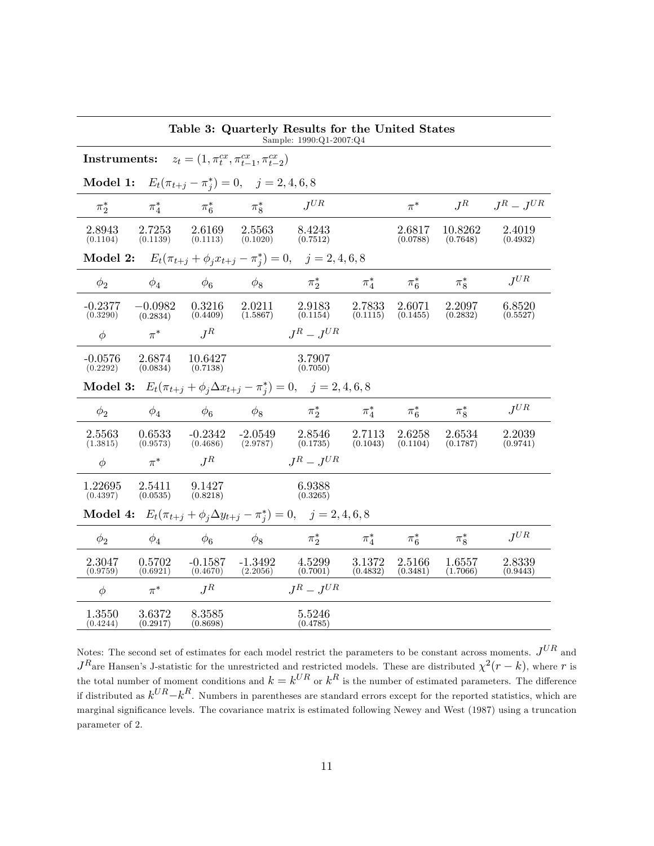| Table 3: Quarterly Results for the United States<br>Sample: 1990:Q1-2007:Q4               |                                                                             |                                 |                               |                                                                       |                    |                    |                     |                    |
|-------------------------------------------------------------------------------------------|-----------------------------------------------------------------------------|---------------------------------|-------------------------------|-----------------------------------------------------------------------|--------------------|--------------------|---------------------|--------------------|
|                                                                                           | <b>Instruments:</b> $z_t = (1, \pi_t^{cx}, \pi_{t-1}^{cx}, \pi_{t-2}^{cx})$ |                                 |                               |                                                                       |                    |                    |                     |                    |
|                                                                                           | <b>Model 1:</b> $E_t(\pi_{t+j} - \pi_i^*) = 0$ , $j = 2, 4, 6, 8$           |                                 |                               |                                                                       |                    |                    |                     |                    |
| $\pi^*_2$                                                                                 |                                                                             |                                 | $\pi_4^*$ $\pi_6^*$ $\pi_8^*$ | $J^{UR}$                                                              |                    | $\pi^*$            | $J^R$               | $J^R - J^{UR}$     |
| 2.8943<br>(0.1104)                                                                        | 2.7253<br>(0.1139)                                                          | 2.6169<br>$(0.1113)$ $(0.1020)$ | 2.5563                        | $8.4243 \newline \hspace*{1.5em} (0.7512)$                            |                    | 2.6817<br>(0.0788) | 10.8262<br>(0.7648) | 2.4019<br>(0.4932) |
| Model 2:                                                                                  |                                                                             |                                 |                               | $E_t(\pi_{t+j} + \phi_j x_{t+j} - \pi_i^*) = 0, \quad j = 2, 4, 6, 8$ |                    |                    |                     |                    |
| $\phi_2$                                                                                  | $\phi_4$                                                                    | $\phi_6$                        |                               | $\phi_8$ $\pi_2^*$ $\pi_4^*$ $\pi_6^*$ $\pi_8^*$                      |                    |                    |                     | $J^{UR}$           |
| $-0.2377$<br>(0.3290)                                                                     | $-0.0982$<br>(0.2834)                                                       | 0.3216<br>(0.4409)              | 2.0211<br>(1.5867)            | 2.9183<br>(0.1154)                                                    | 2.7833<br>(0.1115) | 2.6071<br>(0.1455) | 2.2097<br>(0.2832)  | 6.8520<br>(0.5527) |
| $\phi$                                                                                    | $\pi^*$                                                                     | $J^R$                           |                               | $J^R - J^{UR}$                                                        |                    |                    |                     |                    |
| $-0.0576$<br>(0.2292)                                                                     | 2.6874<br>(0.0834)                                                          | 10.6427<br>(0.7138)             |                               | 3.7907<br>(0.7050)                                                    |                    |                    |                     |                    |
| <b>Model 3:</b> $E_t(\pi_{t+j} + \phi_i \Delta x_{t+j} - \pi_i^*) = 0$ , $j = 2, 4, 6, 8$ |                                                                             |                                 |                               |                                                                       |                    |                    |                     |                    |
| $\phi_2$                                                                                  | $\phi_4$                                                                    | $\phi_6$                        | $\phi_8$                      | $\pi_2^*$ $\pi_4^*$ $\pi_6^*$ $\pi_8^*$                               |                    |                    |                     | $J^{UR}$           |
| 2.5563<br>(1.3815)                                                                        |                                                                             | $(0.9573)$ $(0.4686)$           | (2.9787)                      | $0.6533$ $-0.2342$ $-2.0549$ $2.8546$<br>(0.1735)<br>(0.1735)         | 2.7113<br>(0.1043) | 2.6258<br>(0.1104) | 2.6534<br>(0.1787)  | 2.2039<br>(0.9741) |
| $\phi$                                                                                    | $\pi^*$ $J^R$                                                               |                                 |                               | $J^R - J^{UR}$                                                        |                    |                    |                     |                    |
| 1.22695<br>(0.4397)                                                                       | 2.5411<br>(0.0535)                                                          | 9.1427<br>(0.8218)              |                               | 6.9388<br>(0.3265)                                                    |                    |                    |                     |                    |
| Model 4: $E_t(\pi_{t+j} + \phi_i \Delta y_{t+j} - \pi_i^*) = 0$ , $j = 2, 4, 6, 8$        |                                                                             |                                 |                               |                                                                       |                    |                    |                     |                    |
| $\phi_2$                                                                                  | $\phi_4$                                                                    |                                 |                               | $\phi_6$ $\phi_8$ $\pi_2^*$ $\pi_4^*$ $\pi_6^*$ $\pi_8^*$             |                    |                    |                     | $J^{UR}$           |
| 2.3047<br>(0.9759)                                                                        | 0.5702<br>(0.6921)                                                          | $-0.1587$<br>(0.4670)           | (2.2056)                      | $-1.3492$ $4.5299$<br>(0.7001)                                        | 3.1372<br>(0.4832) | 2.5166<br>(0.3481) | 1.6557<br>(1.7066)  | 2.8339<br>(0.9443) |
| $\phi$                                                                                    | $\pi^*$                                                                     | $J^R$                           |                               | $J^R$ – $J^{UR}$                                                      |                    |                    |                     |                    |
| 1.3550<br>(0.4244)                                                                        | 3.6372<br>(0.2917)                                                          | 8.3585<br>(0.8698)              |                               | 5.5246<br>(0.4785)                                                    |                    |                    |                     |                    |

Notes: The second set of estimates for each model restrict the parameters to be constant across moments.  $J^{UR}$  and  $J<sup>R</sup>$ are Hansen's J-statistic for the unrestricted and restricted models. These are distributed  $\chi^{2}(r-k)$ , where r is the total number of moment conditions and  $k = k^{UR}$  or  $k^R$  is the number of estimated parameters. The difference if distributed as  $k^{UR} - k^R$ . Numbers in parentheses are standard errors except for the reported statistics, which are marginal significance levels. The covariance matrix is estimated following Newey and West (1987) using a truncation parameter of 2.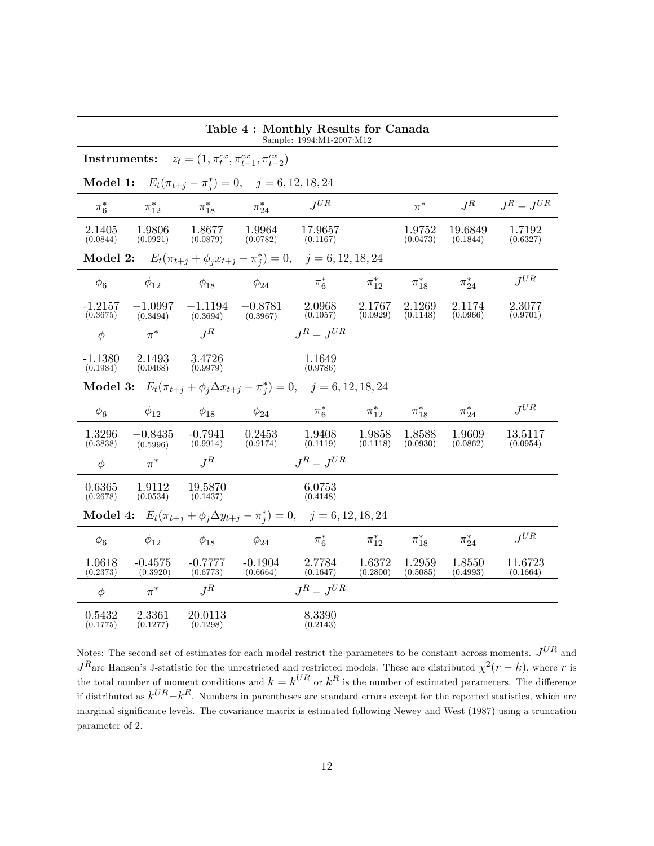|                        | Table 4: Monthly Results for Canada<br>Sample: 1994:M1-2007:M12                              |                       |                                                                      |                                                                                              |                    |                    |                     |                     |
|------------------------|----------------------------------------------------------------------------------------------|-----------------------|----------------------------------------------------------------------|----------------------------------------------------------------------------------------------|--------------------|--------------------|---------------------|---------------------|
|                        | <b>Instruments:</b> $z_t = (1, \pi_t^{cx}, \pi_{t-1}^{cx}, \pi_{t-2}^{cx})$                  |                       |                                                                      |                                                                                              |                    |                    |                     |                     |
|                        |                                                                                              |                       | <b>Model 1:</b> $E_t(\pi_{t+j} - \pi_i^*) = 0$ , $j = 6, 12, 18, 24$ |                                                                                              |                    |                    |                     |                     |
| $\pi_6^*$              |                                                                                              |                       | $\pi_{12}^*$ $\pi_{18}^*$ $\pi_{24}^*$                               | $I^{UR}$                                                                                     |                    | $\pi^*$            | $J^R$               | $J^R - J^{UR}$      |
| 2.1405<br>(0.0844)     | 1.9806<br>(0.0921)                                                                           | 1.8677<br>(0.0879)    | 1.9964<br>$(0.0782)$ $(0.1167)$                                      | 17.9657                                                                                      |                    | 1.9752<br>(0.0473) | 19.6849<br>(0.1844) | 1.7192<br>(0.6327)  |
|                        |                                                                                              |                       |                                                                      | <b>Model 2:</b> $E_t(\pi_{t+j} + \phi_j x_{t+j} - \pi_j^*) = 0, \quad j = 6, 12, 18, 24$     |                    |                    |                     |                     |
| $\phi_6$               | $\phi_{12}$                                                                                  | $\phi_{18}$           | $\phi_{24}$                                                          | $\pi_{6}^{*}$ $\pi_{12}^{*}$ $\pi_{18}^{*}$ $\pi_{24}^{*}$                                   |                    |                    |                     | $J^{UR}$            |
| $-1.2157$<br>(0.3675)  | $-1.0997$<br>(0.3494)                                                                        | $-1.1194$<br>(0.3694) | $-0.8781$<br>(0.3967)                                                | 2.0968<br>(0.1057)                                                                           | 2.1767<br>(0.0929) | 2.1269<br>(0.1148) | 2.1174<br>(0.0966)  | 2.3077<br>(0.9701)  |
| $\phi$                 | $\pi^*$                                                                                      | $J^R$                 |                                                                      | $J^R=J^{UR}$                                                                                 |                    |                    |                     |                     |
| $-1.1380$<br>(0.1984)  | 2.1493<br>(0.0468)                                                                           | 3.4726<br>(0.9979)    |                                                                      | 1.1649<br>(0.9786)                                                                           |                    |                    |                     |                     |
|                        |                                                                                              |                       |                                                                      | <b>Model 3:</b> $E_t(\pi_{t+j} + \phi_j \Delta x_{t+j} - \pi_j^*) = 0$ , $j = 6, 12, 18, 24$ |                    |                    |                     |                     |
| $\phi_6$               | $\phi_{12}$                                                                                  | $\phi_{18}$           |                                                                      | $\phi_{24}$ $\pi^*_{6}$ $\pi^*_{12}$ $\pi^*_{18}$                                            |                    |                    | $\pi_{24}^*$        | $J^{UR}$            |
| 1.3296<br>(0.3838)     | $(0.5996)$ $(0.9914)$                                                                        | $-0.8435 -0.7941$     | (0.9174)                                                             | 0.2453 1.9408<br>(0.1119)                                                                    | 1.9858<br>(0.1118) | 1.8588<br>(0.0930) | 1.9609<br>(0.0862)  | 13.5117<br>(0.0954) |
| $\phi$                 |                                                                                              | $\pi^*$ $J^R$         |                                                                      | $J^R - J^{UR}$                                                                               |                    |                    |                     |                     |
| $0.6365\,$<br>(0.2678) | 1.9112<br>(0.0534)                                                                           | 19.5870<br>(0.1437)   |                                                                      | 6.0753<br>(0.4148)                                                                           |                    |                    |                     |                     |
|                        | <b>Model 4:</b> $E_t(\pi_{t+j} + \phi_j \Delta y_{t+j} - \pi_j^*) = 0$ , $j = 6, 12, 18, 24$ |                       |                                                                      |                                                                                              |                    |                    |                     |                     |
| $\phi_6$               | $\phi_{12}$                                                                                  | $\phi_{18}$           | $\phi_{24}$                                                          | $\pi_{6}^{*}$ $\pi_{12}^{*}$ $\pi_{18}^{*}$                                                  |                    |                    | $\pi_{24}^*$        | $J^{UR}$            |
| 1.0618<br>(0.2373)     | $-0.4575$<br>(0.3920)                                                                        | $-0.7777$<br>(0.6773) | (0.6664)                                                             | $-0.1904$ 2.7784<br>(0.1647)                                                                 | 1.6372<br>(0.2800) | 1.2959<br>(0.5085) | 1.8550<br>(0.4993)  | 11.6723<br>(0.1664) |
| $\phi$                 | $\pi^*$                                                                                      | $J^R$                 |                                                                      | $J^R - J^{UR}$                                                                               |                    |                    |                     |                     |
| 0.5432<br>(0.1775)     | 2.3361<br>(0.1277)                                                                           | 20.0113<br>(0.1298)   |                                                                      | 8.3390<br>(0.2143)                                                                           |                    |                    |                     |                     |

Notes: The second set of estimates for each model restrict the parameters to be constant across moments.  $J^{UR}$  and  $J<sup>R</sup>$ are Hansen's J-statistic for the unrestricted and restricted models. These are distributed  $\chi^{2}(r-k)$ , where r is the total number of moment conditions and  $k = k^{UR}$  or  $k^R$  is the number of estimated parameters. The difference if distributed as  $k^{UR} - k^R$ . Numbers in parentheses are standard errors except for the reported statistics, which are marginal significance levels. The covariance matrix is estimated following Newey and West (1987) using a truncation parameter of 2.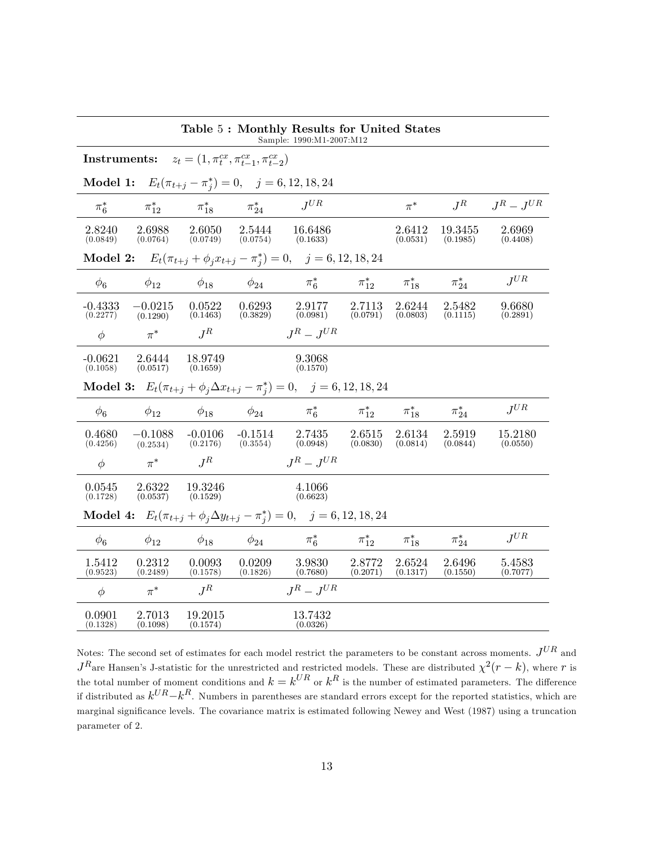|                       |                                                                             |                                        |                    | Table 5: Monthly Results for United States<br>Sample: 1990:M1-2007:M12                                                                                                   |                    |                    |                     |                     |
|-----------------------|-----------------------------------------------------------------------------|----------------------------------------|--------------------|--------------------------------------------------------------------------------------------------------------------------------------------------------------------------|--------------------|--------------------|---------------------|---------------------|
|                       | <b>Instruments:</b> $z_t = (1, \pi_t^{cx}, \pi_{t-1}^{cx}, \pi_{t-2}^{cx})$ |                                        |                    |                                                                                                                                                                          |                    |                    |                     |                     |
|                       |                                                                             |                                        |                    | <b>Model 1:</b> $E_t(\pi_{t+j} - \pi_i^*) = 0$ , $j = 6, 12, 18, 24$                                                                                                     |                    |                    |                     |                     |
| $\pi_6^*$             |                                                                             | $\pi_{12}^*$ $\pi_{18}^*$ $\pi_{24}^*$ |                    | $J^{UR}$                                                                                                                                                                 |                    | $\pi^*$            | $J^R$               | $J^R - J^{UR}$      |
| 2.8240<br>(0.0849)    | 2.6988<br>(0.0764)                                                          | 2.6050 2.5444<br>$(0.0749)$ $(0.0754)$ |                    | 16.6486<br>(0.1633)                                                                                                                                                      |                    | 2.6412<br>(0.0531) | 19.3455<br>(0.1985) | 2.6969<br>(0.4408)  |
|                       |                                                                             |                                        |                    | <b>Model 2:</b> $E_t(\pi_{t+j} + \phi_j x_{t+j} - \pi_j^*) = 0, \quad j = 6, 12, 18, 24$                                                                                 |                    |                    |                     |                     |
| $\phi_6$              |                                                                             |                                        |                    | $\phi_{12}$ $\phi_{18}$ $\phi_{24}$ $\pi_6^*$ $\pi_{12}^*$ $\pi_{18}^*$ $\pi_{24}^*$                                                                                     |                    |                    |                     | $J^{UR}$            |
| $-0.4333$<br>(0.2277) | $-0.0215$<br>(0.1290)                                                       | 0.0522<br>(0.1463)                     | 0.6293<br>(0.3829) | 2.9177<br>(0.0981)                                                                                                                                                       | 2.7113<br>(0.0791) | 2.6244<br>(0.0803) | 2.5482<br>(0.1115)  | 9.6680<br>(0.2891)  |
| $\phi$                | $\pi^*$                                                                     | $J^R$                                  |                    | $J^R - J^{UR}$                                                                                                                                                           |                    |                    |                     |                     |
| $-0.0621$<br>(0.1058) | (0.0517)                                                                    | 2.6444 18.9749<br>(0.1659)             |                    | 9.3068<br>(0.1570)                                                                                                                                                       |                    |                    |                     |                     |
|                       |                                                                             |                                        |                    | <b>Model 3:</b> $E_t(\pi_{t+j} + \phi_j \Delta x_{t+j} - \pi_j^*) = 0, \quad j = 6, 12, 18, 24$                                                                          |                    |                    |                     |                     |
| $\phi_6$              | $\phi_{12}$                                                                 | $\phi_{18}$                            |                    | $\phi_{24}$ $\pi_6^*$ $\pi_{12}^*$ $\pi_{18}^*$ $\pi_{24}^*$                                                                                                             |                    |                    |                     | $J^{UR}$            |
| 0.4680<br>(0.4256)    |                                                                             |                                        |                    | $-0.1088$ $-0.0106$ $-0.1514$ $2.7435$<br>$(0.2534)$ $(0.2176)$ $(0.3554)$ $(0.0948)$                                                                                    | 2.6515<br>(0.0830) | 2.6134<br>(0.0814) | 2.5919<br>(0.0844)  | 15.2180<br>(0.0550) |
| $\phi$                | $\pi^*$ $J^R$                                                               |                                        |                    | $J^R - J^{UR}$                                                                                                                                                           |                    |                    |                     |                     |
| 0.0545<br>(0.1728)    | 2.6322<br>(0.0537)                                                          | 19.3246<br>(0.1529)                    |                    | 4.1066<br>(0.6623)                                                                                                                                                       |                    |                    |                     |                     |
|                       |                                                                             |                                        |                    | <b>Model 4:</b> $E_t(\pi_{t+j} + \phi_i \Delta y_{t+j} - \pi_i^*) = 0$ , $j = 6, 12, 18, 24$                                                                             |                    |                    |                     |                     |
| $\phi_6$              |                                                                             |                                        |                    | $\phi_{12} \qquad \quad \phi_{18} \qquad \quad \phi_{24} \qquad \quad \quad \pi_6^\ast \qquad \quad \pi_{12}^\ast \qquad \quad \pi_{18}^\ast \qquad \quad \pi_{24}^\ast$ |                    |                    |                     | $J^{UR}$            |
| 1.5412<br>(0.9523)    | 0.2312<br>(0.2489)                                                          | 0.0093<br>(0.1578)                     | (0.1826)           | $0.0209$ $3.9830$<br>(0.7680)                                                                                                                                            | 2.8772<br>(0.2071) | 2.6524<br>(0.1317) | 2.6496<br>(0.1550)  | 5.4583<br>(0.7077)  |
| $\phi$                | $\pi^*$                                                                     | $J^R$                                  |                    | $I^R - I^{UR}$                                                                                                                                                           |                    |                    |                     |                     |
| 0.0901<br>(0.1328)    | 2.7013<br>(0.1098)                                                          | 19.2015<br>(0.1574)                    |                    | 13.7432<br>(0.0326)                                                                                                                                                      |                    |                    |                     |                     |

Notes: The second set of estimates for each model restrict the parameters to be constant across moments.  $J^{UR}$  and  $J<sup>R</sup>$ are Hansen's J-statistic for the unrestricted and restricted models. These are distributed  $\chi^{2}(r-k)$ , where r is the total number of moment conditions and  $k = k^{UR}$  or  $k^R$  is the number of estimated parameters. The difference if distributed as  $k^{UR} - k^R$ . Numbers in parentheses are standard errors except for the reported statistics, which are marginal significance levels. The covariance matrix is estimated following Newey and West (1987) using a truncation parameter of 2.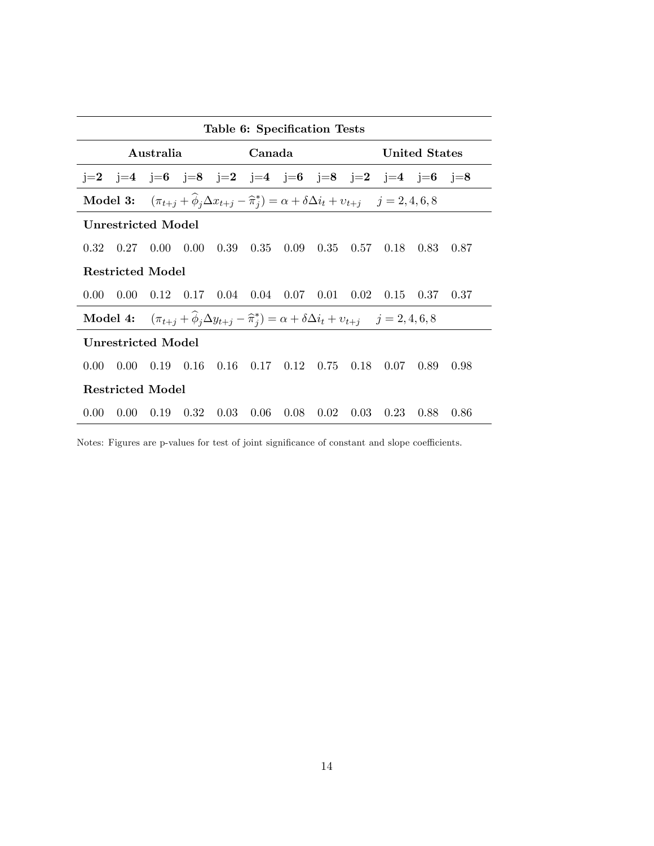|                    | Table 6: Specification Tests                                                                                                    |           |  |  |        |                                                                                                                                     |  |  |                                                                                                                      |       |
|--------------------|---------------------------------------------------------------------------------------------------------------------------------|-----------|--|--|--------|-------------------------------------------------------------------------------------------------------------------------------------|--|--|----------------------------------------------------------------------------------------------------------------------|-------|
|                    |                                                                                                                                 | Australia |  |  | Canada |                                                                                                                                     |  |  | <b>United States</b>                                                                                                 |       |
|                    |                                                                                                                                 |           |  |  |        |                                                                                                                                     |  |  | $j=2$ $j=4$ $j=6$ $j=8$ $j=2$ $j=4$ $j=6$ $j=8$ $j=2$ $j=4$ $j=6$ $j=8$                                              |       |
|                    |                                                                                                                                 |           |  |  |        | <b>Model 3:</b> $(\pi_{t+j} + \hat{\phi}_i \Delta x_{t+j} - \hat{\pi}_i^*) = \alpha + \delta \Delta i_t + v_{t+j}$ $j = 2, 4, 6, 8$ |  |  |                                                                                                                      |       |
|                    | Unrestricted Model                                                                                                              |           |  |  |        |                                                                                                                                     |  |  |                                                                                                                      |       |
|                    |                                                                                                                                 |           |  |  |        |                                                                                                                                     |  |  | $0.32$ $0.27$ $0.00$ $0.00$ $0.39$ $0.35$ $0.09$ $0.35$ $0.57$ $0.18$ $0.83$ $0.87$                                  |       |
|                    | Restricted Model                                                                                                                |           |  |  |        |                                                                                                                                     |  |  |                                                                                                                      |       |
| $0.00^{\circ}$     |                                                                                                                                 |           |  |  |        |                                                                                                                                     |  |  | $0.00$ $0.12$ $0.17$ $0.04$ $0.04$ $0.07$ $0.01$ $0.02$ $0.15$ $0.37$ $0.37$                                         |       |
|                    | $(\pi_{t+i} + \hat{\phi}_i \Delta y_{t+j} - \hat{\pi}_i^*) = \alpha + \delta \Delta i_t + v_{t+j}$ $j = 2, 4, 6, 8$<br>Model 4: |           |  |  |        |                                                                                                                                     |  |  |                                                                                                                      |       |
| Unrestricted Model |                                                                                                                                 |           |  |  |        |                                                                                                                                     |  |  |                                                                                                                      |       |
|                    |                                                                                                                                 |           |  |  |        |                                                                                                                                     |  |  | $0.00 \quad 0.00 \quad 0.19 \quad 0.16 \quad 0.16 \quad 0.17 \quad 0.12 \quad 0.75 \quad 0.18 \quad 0.07 \quad 0.89$ | 0.98  |
|                    | Restricted Model                                                                                                                |           |  |  |        |                                                                                                                                     |  |  |                                                                                                                      |       |
| 0.00.              | 0.00                                                                                                                            |           |  |  |        |                                                                                                                                     |  |  | $0.19$ $0.32$ $0.03$ $0.06$ $0.08$ $0.02$ $0.03$ $0.23$ $0.88$                                                       | -0.86 |

Notes: Figures are p-values for test of joint significance of constant and slope coefficients.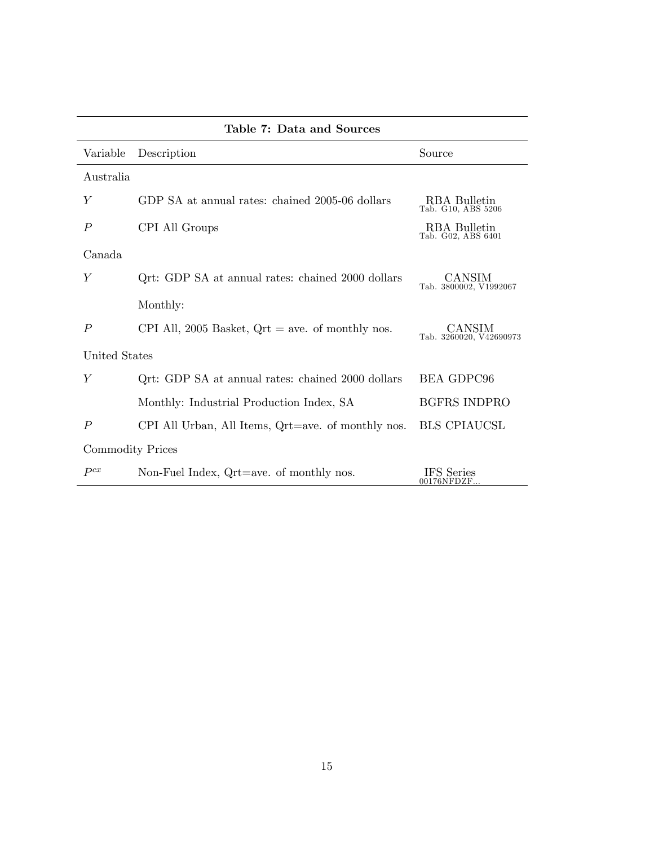| Table 7: Data and Sources |                                                    |                                           |  |  |  |  |  |
|---------------------------|----------------------------------------------------|-------------------------------------------|--|--|--|--|--|
| Variable                  | Description                                        | Source                                    |  |  |  |  |  |
| Australia                 |                                                    |                                           |  |  |  |  |  |
| Y                         | GDP SA at annual rates: chained 2005-06 dollars    | RBA Bulletin<br>Tab. G10, ABS 5206        |  |  |  |  |  |
| $\boldsymbol{P}$          | CPI All Groups                                     | <b>RBA</b> Bulletin<br>Tab. G02, ABS 6401 |  |  |  |  |  |
| Canada                    |                                                    |                                           |  |  |  |  |  |
| Y                         | Qrt: GDP SA at annual rates: chained 2000 dollars  | CANSIM<br>Tab. 3800002, V1992067          |  |  |  |  |  |
|                           | Monthly:                                           |                                           |  |  |  |  |  |
| $\boldsymbol{P}$          | CPI All, 2005 Basket, $Qrt = ave.$ of monthly nos. | CANSIM<br>Tab. 3260020, V42690973         |  |  |  |  |  |
| United States             |                                                    |                                           |  |  |  |  |  |
| Y                         | Qrt: GDP SA at annual rates: chained 2000 dollars  | BEA GDPC96                                |  |  |  |  |  |
|                           | Monthly: Industrial Production Index, SA           | <b>BGFRS INDPRO</b>                       |  |  |  |  |  |
| $\boldsymbol{P}$          | CPI All Urban, All Items, Qrt=ave. of monthly nos. | <b>BLS CPIAUCSL</b>                       |  |  |  |  |  |
|                           | <b>Commodity Prices</b>                            |                                           |  |  |  |  |  |
| $P^{cx}$                  | Non-Fuel Index, Qrt=ave. of monthly nos.           | IFS Series<br>00176NFDZF                  |  |  |  |  |  |